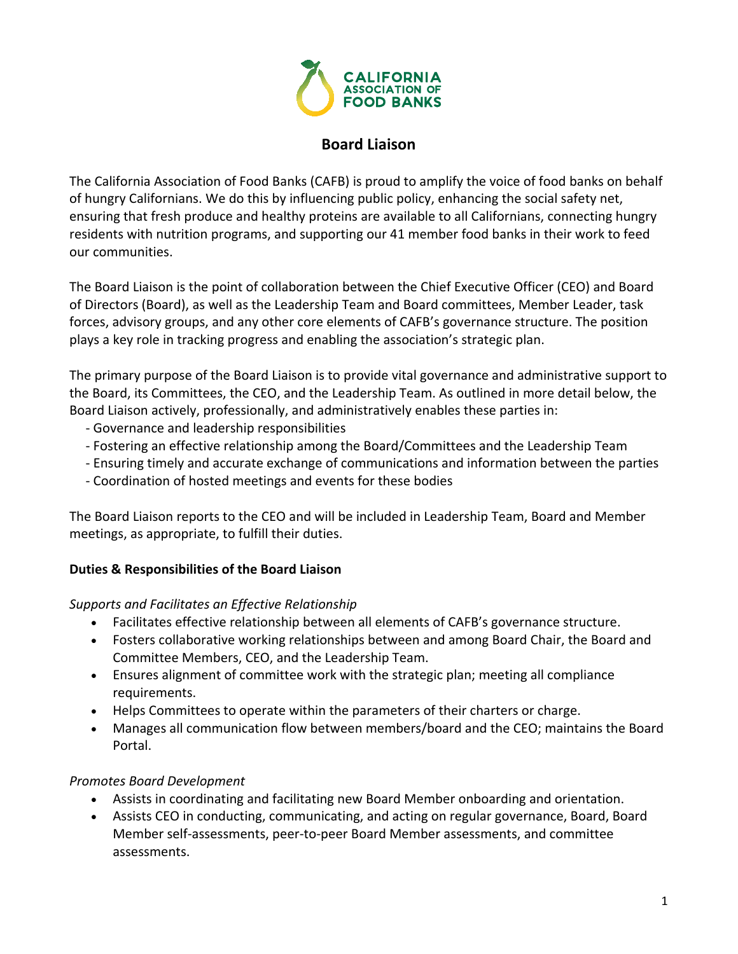

# **Board Liaison**

The California Association of Food Banks (CAFB) is proud to amplify the voice of food banks on behalf of hungry Californians. We do this by influencing public policy, enhancing the social safety net, ensuring that fresh produce and healthy proteins are available to all Californians, connecting hungry residents with nutrition programs, and supporting our 41 member food banks in their work to feed our communities.

The Board Liaison is the point of collaboration between the Chief Executive Officer (CEO) and Board of Directors (Board), as well as the Leadership Team and Board committees, Member Leader, task forces, advisory groups, and any other core elements of CAFB's governance structure. The position plays a key role in tracking progress and enabling the association's strategic plan.

The primary purpose of the Board Liaison is to provide vital governance and administrative support to the Board, its Committees, the CEO, and the Leadership Team. As outlined in more detail below, the Board Liaison actively, professionally, and administratively enables these parties in:

- ‐ Governance and leadership responsibilities
- ‐ Fostering an effective relationship among the Board/Committees and the Leadership Team
- ‐ Ensuring timely and accurate exchange of communications and information between the parties
- ‐ Coordination of hosted meetings and events for these bodies

The Board Liaison reports to the CEO and will be included in Leadership Team, Board and Member meetings, as appropriate, to fulfill their duties.

### **Duties & Responsibilities of the Board Liaison**

#### *Supports and Facilitates an Effective Relationship*

- Facilitates effective relationship between all elements of CAFB's governance structure.
- Fosters collaborative working relationships between and among Board Chair, the Board and Committee Members, CEO, and the Leadership Team.
- Ensures alignment of committee work with the strategic plan; meeting all compliance requirements.
- Helps Committees to operate within the parameters of their charters or charge.
- Manages all communication flow between members/board and the CEO; maintains the Board Portal.

### *Promotes Board Development*

- Assists in coordinating and facilitating new Board Member onboarding and orientation.
- Assists CEO in conducting, communicating, and acting on regular governance, Board, Board Member self‐assessments, peer‐to‐peer Board Member assessments, and committee assessments.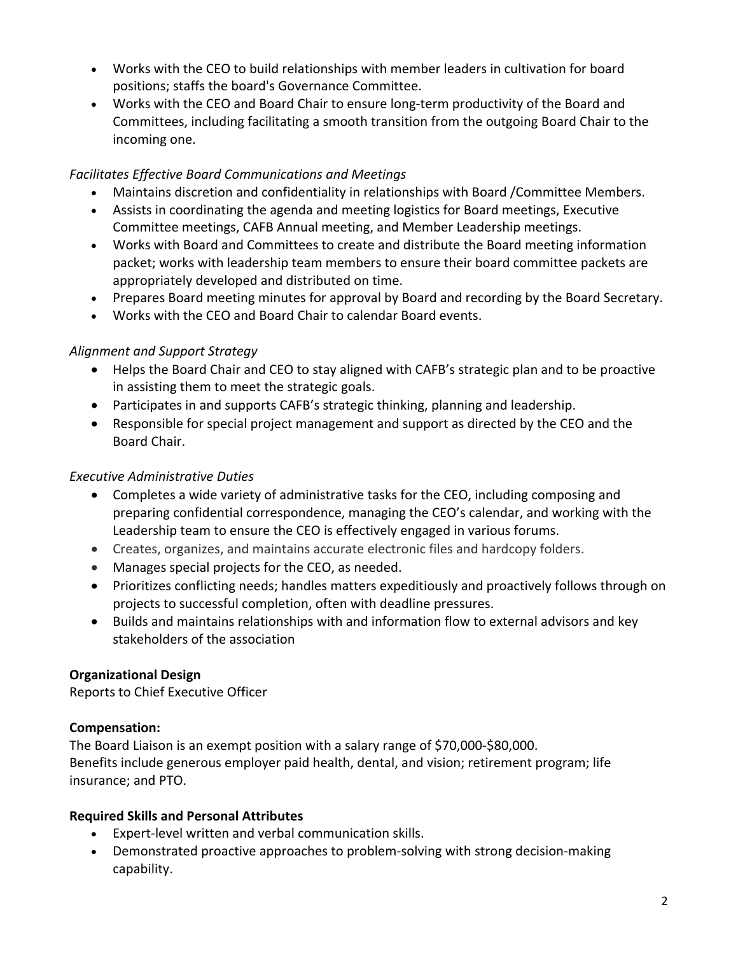- Works with the CEO to build relationships with member leaders in cultivation for board positions; staffs the board's Governance Committee.
- Works with the CEO and Board Chair to ensure long-term productivity of the Board and Committees, including facilitating a smooth transition from the outgoing Board Chair to the incoming one.

### *Facilitates Effective Board Communications and Meetings*

- Maintains discretion and confidentiality in relationships with Board /Committee Members.
- Assists in coordinating the agenda and meeting logistics for Board meetings, Executive Committee meetings, CAFB Annual meeting, and Member Leadership meetings.
- Works with Board and Committees to create and distribute the Board meeting information packet; works with leadership team members to ensure their board committee packets are appropriately developed and distributed on time.
- Prepares Board meeting minutes for approval by Board and recording by the Board Secretary.
- Works with the CEO and Board Chair to calendar Board events.

# *Alignment and Support Strategy*

- Helps the Board Chair and CEO to stay aligned with CAFB's strategic plan and to be proactive in assisting them to meet the strategic goals.
- Participates in and supports CAFB's strategic thinking, planning and leadership.
- Responsible for special project management and support as directed by the CEO and the Board Chair.

### *Executive Administrative Duties*

- Completes a wide variety of administrative tasks for the CEO, including composing and preparing confidential correspondence, managing the CEO's calendar, and working with the Leadership team to ensure the CEO is effectively engaged in various forums.
- Creates, organizes, and maintains accurate electronic files and hardcopy folders.
- Manages special projects for the CEO, as needed.
- Prioritizes conflicting needs; handles matters expeditiously and proactively follows through on projects to successful completion, often with deadline pressures.
- Builds and maintains relationships with and information flow to external advisors and key stakeholders of the association

# **Organizational Design**

Reports to Chief Executive Officer

### **Compensation:**

The Board Liaison is an exempt position with a salary range of \$70,000‐\$80,000. Benefits include generous employer paid health, dental, and vision; retirement program; life insurance; and PTO.

### **Required Skills and Personal Attributes**

- Expert‐level written and verbal communication skills.
- Demonstrated proactive approaches to problem‐solving with strong decision‐making capability.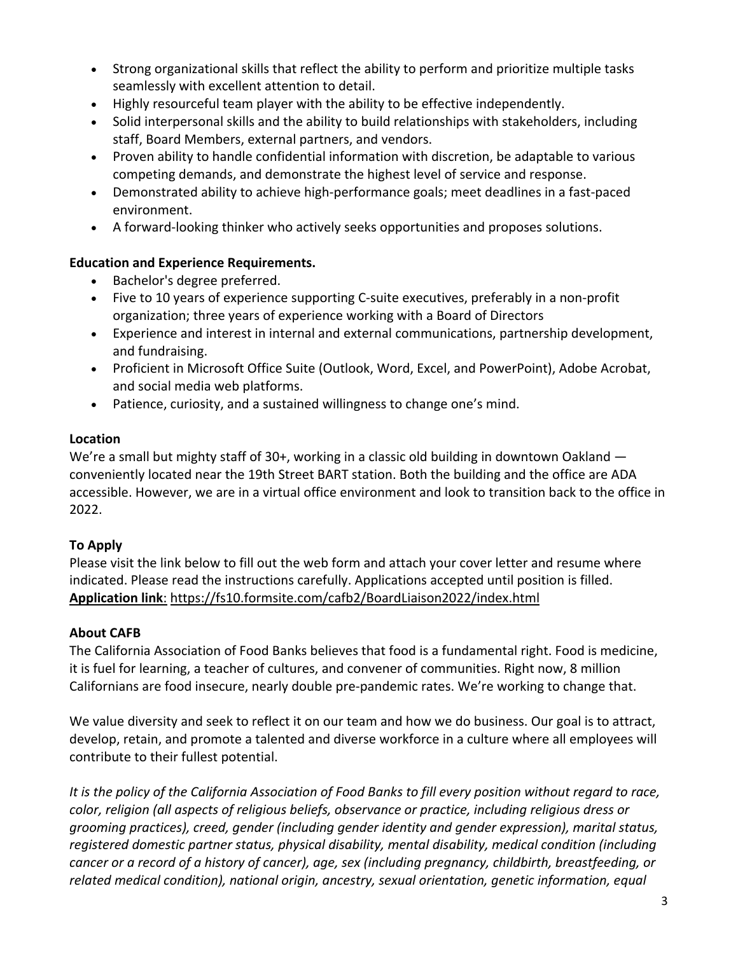- Strong organizational skills that reflect the ability to perform and prioritize multiple tasks seamlessly with excellent attention to detail.
- Highly resourceful team player with the ability to be effective independently.
- Solid interpersonal skills and the ability to build relationships with stakeholders, including staff, Board Members, external partners, and vendors.
- Proven ability to handle confidential information with discretion, be adaptable to various competing demands, and demonstrate the highest level of service and response.
- Demonstrated ability to achieve high-performance goals; meet deadlines in a fast-paced environment.
- A forward‐looking thinker who actively seeks opportunities and proposes solutions.

### **Education and Experience Requirements.**

- Bachelor's degree preferred.
- Five to 10 years of experience supporting C‐suite executives, preferably in a non‐profit organization; three years of experience working with a Board of Directors
- Experience and interest in internal and external communications, partnership development, and fundraising.
- Proficient in Microsoft Office Suite (Outlook, Word, Excel, and PowerPoint), Adobe Acrobat, and social media web platforms.
- Patience, curiosity, and a sustained willingness to change one's mind.

### **Location**

We're a small but mighty staff of 30+, working in a classic old building in downtown Oakland conveniently located near the 19th Street BART station. Both the building and the office are ADA accessible. However, we are in a virtual office environment and look to transition back to the office in 2022.

# **To Apply**

Please visit the link below to fill out the web form and attach your cover letter and resume where indicated. Please read the instructions carefully. Applications accepted until position is filled. **[Application](https://fs10.formsite.com/cafb2/BoardLiaison2022/index.html) link**: <https://fs10.formsite.com/cafb2/BoardLiaison2022/index.html>

# **About CAFB**

The California Association of Food Banks believes that food is a fundamental right. Food is medicine, it is fuel for learning, a teacher of cultures, and convener of communities. Right now, 8 million Californians are food insecure, nearly double pre‐pandemic rates. We're working to change that.

We value diversity and seek to reflect it on our team and how we do business. Our goal is to attract, develop, retain, and promote a talented and diverse workforce in a culture where all employees will contribute to their fullest potential.

It is the policy of the California Association of Food Banks to fill every position without regard to race, *color, religion (all aspects of religious beliefs, observance or practice, including religious dress or grooming practices), creed, gender (including gender identity and gender expression), marital status, registered domestic partner status, physical disability, mental disability, medical condition (including cancer or a record of a history of cancer), age, sex (including pregnancy, childbirth, breastfeeding, or related medical condition), national origin, ancestry, sexual orientation, genetic information, equal*